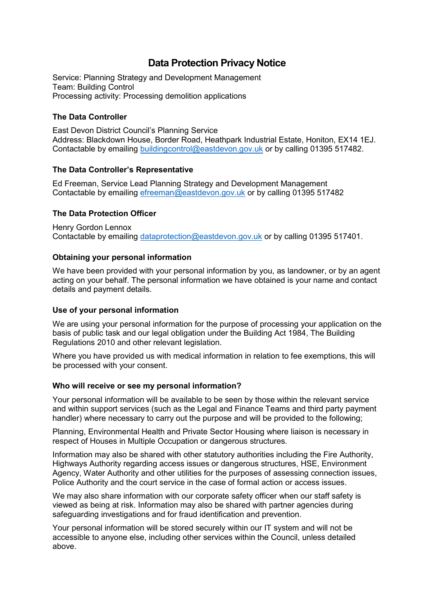# **Data Protection Privacy Notice**

Service: Planning Strategy and Development Management Team: Building Control Processing activity: Processing demolition applications

## **The Data Controller**

East Devon District Council's Planning Service Address: Blackdown House, Border Road, Heathpark Industrial Estate, Honiton, EX14 1EJ. Contactable by emailing [buildingcontrol@eastdevon.gov.uk](mailto:buildingcontrol@eastdevon.gov.uk) or by calling 01395 517482.

#### **The Data Controller's Representative**

Ed Freeman, Service Lead Planning Strategy and Development Management Contactable by emailing [efreeman@eastdevon.gov.uk](mailto:efreeman@eastdevon.gov.uk) or by calling 01395 517482

## **The Data Protection Officer**

Henry Gordon Lennox Contactable by emailing [dataprotection@eastdevon.gov.uk](mailto:dataprotection@eastdevon.gov.uk) or by calling 01395 517401.

## **Obtaining your personal information**

We have been provided with your personal information by you, as landowner, or by an agent acting on your behalf. The personal information we have obtained is your name and contact details and payment details.

#### **Use of your personal information**

We are using your personal information for the purpose of processing your application on the basis of public task and our legal obligation under the Building Act 1984, The Building Regulations 2010 and other relevant legislation.

Where you have provided us with medical information in relation to fee exemptions, this will be processed with your consent.

#### **Who will receive or see my personal information?**

Your personal information will be available to be seen by those within the relevant service and within support services (such as the Legal and Finance Teams and third party payment handler) where necessary to carry out the purpose and will be provided to the following;

Planning, Environmental Health and Private Sector Housing where liaison is necessary in respect of Houses in Multiple Occupation or dangerous structures.

Information may also be shared with other statutory authorities including the Fire Authority, Highways Authority regarding access issues or dangerous structures, HSE, Environment Agency, Water Authority and other utilities for the purposes of assessing connection issues, Police Authority and the court service in the case of formal action or access issues.

We may also share information with our corporate safety officer when our staff safety is viewed as being at risk. Information may also be shared with partner agencies during safeguarding investigations and for fraud identification and prevention.

Your personal information will be stored securely within our IT system and will not be accessible to anyone else, including other services within the Council, unless detailed above.